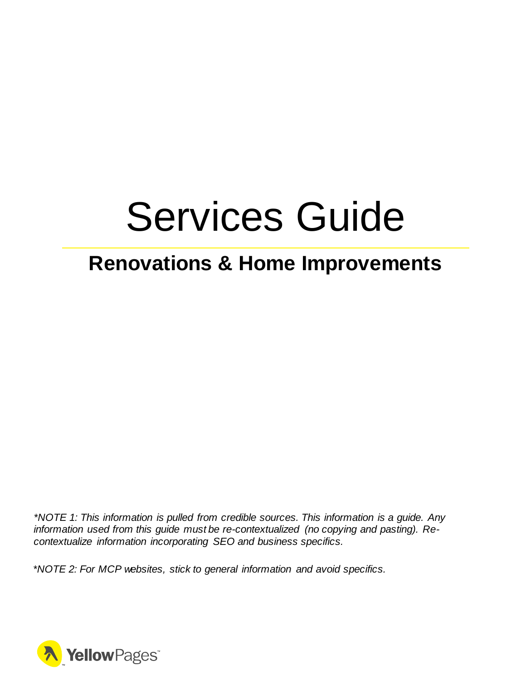# Services Guide

## **Renovations & Home Improvements**

*\*NOTE 1: This information is pulled from credible sources. This information is a guide. Any information used from this guide must be re-contextualized (no copying and pasting). Recontextualize information incorporating SEO and business specifics.*

*\*NOTE 2: For MCP websites, stick to general information and avoid specifics.*

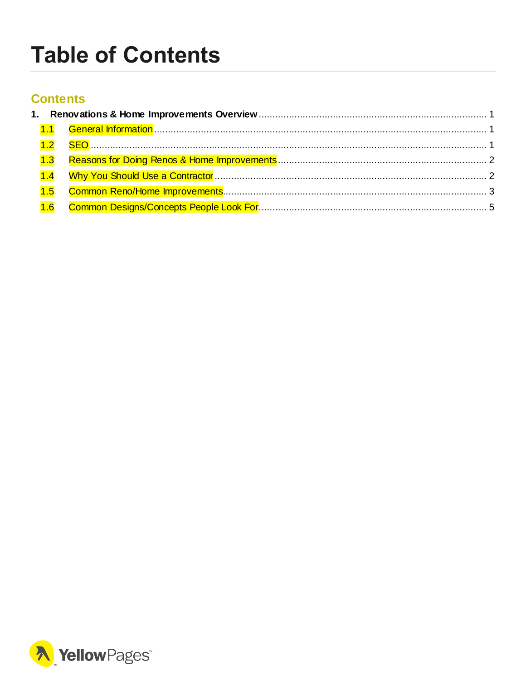# <span id="page-1-0"></span>**Table of Contents**

#### **Contents**

| 1.3 |  |  |  |  |
|-----|--|--|--|--|
| 1.4 |  |  |  |  |
| 1.5 |  |  |  |  |
|     |  |  |  |  |

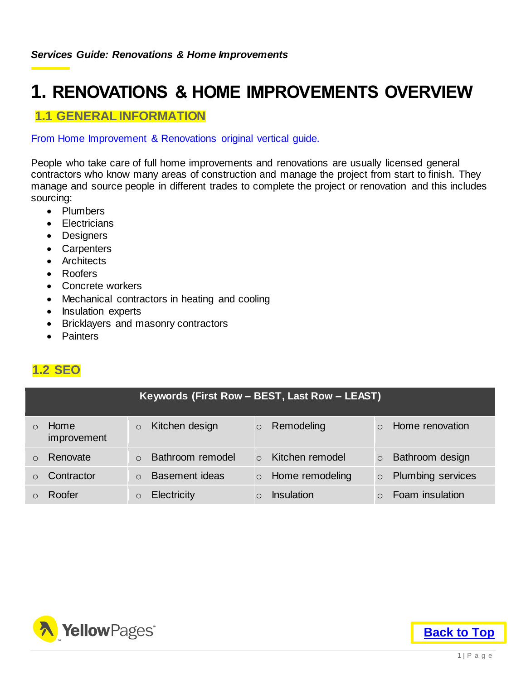## <span id="page-2-0"></span>**1. RENOVATIONS & HOME IMPROVEMENTS OVERVIEW**

#### <span id="page-2-1"></span>**1.1 GENERAL INFORMATION**

#### From Home Improvement & Renovations original vertical guide.

People who take care of full home improvements and renovations are usually licensed general contractors who know many areas of construction and manage the project from start to finish. They manage and source people in different trades to complete the project or renovation and this includes sourcing:

- Plumbers
- **•** Electricians
- Designers
- Carpenters
- Architects
- Roofers
- Concrete workers
- Mechanical contractors in heating and cooling
- Insulation experts
- Bricklayers and masonry contractors
- Painters

#### <span id="page-2-2"></span>**1.2 SEO**

| Keywords (First Row - BEST, Last Row - LEAST) |                     |  |                    |          |                 |                          |
|-----------------------------------------------|---------------------|--|--------------------|----------|-----------------|--------------------------|
| $\bigcirc$                                    | Home<br>improvement |  | Kitchen design     | $\circ$  | Remodeling      | Home renovation          |
|                                               | Renovate            |  | Bathroom remodel   | $\Omega$ | Kitchen remodel | Bathroom design          |
|                                               | Contractor          |  | Basement ideas     | $\circ$  | Home remodeling | <b>Plumbing services</b> |
|                                               | Roofer              |  | <b>Electricity</b> |          | Insulation      | Foam insulation          |

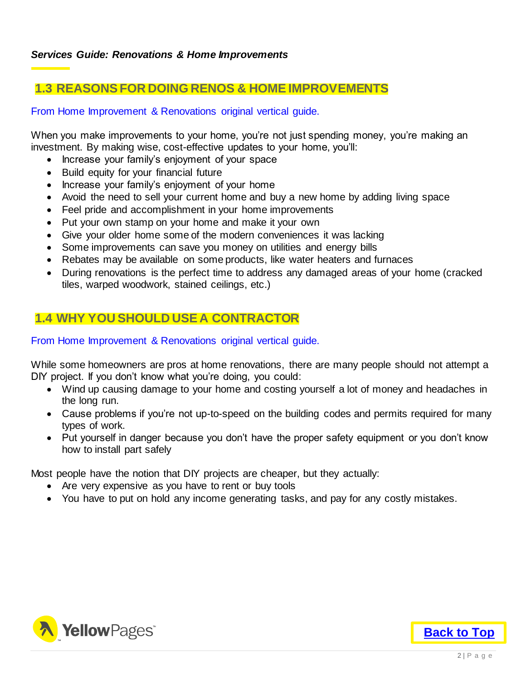#### <span id="page-3-0"></span>**1.3 REASONS FOR DOING RENOS & HOME IMPROVEMENTS**

From Home Improvement & Renovations original vertical guide.

When you make improvements to your home, you're not just spending money, you're making an investment. By making wise, cost-effective updates to your home, you'll:

- Increase your family's enjoyment of your space
- Build equity for your financial future
- Increase your family's enjoyment of your home
- Avoid the need to sell your current home and buy a new home by adding living space
- Feel pride and accomplishment in your home improvements
- Put your own stamp on your home and make it your own
- Give your older home some of the modern conveniences it was lacking
- Some improvements can save you money on utilities and energy bills
- Rebates may be available on some products, like water heaters and furnaces
- During renovations is the perfect time to address any damaged areas of your home (cracked tiles, warped woodwork, stained ceilings, etc.)

#### <span id="page-3-1"></span>**1.4 WHY YOU SHOULD USE A CONTRACTOR**

#### From Home Improvement & Renovations original vertical guide.

While some homeowners are pros at home renovations, there are many people should not attempt a DIY project. If you don't know what you're doing, you could:

- Wind up causing damage to your home and costing yourself a lot of money and headaches in the long run.
- Cause problems if you're not up-to-speed on the building codes and permits required for many types of work.
- Put yourself in danger because you don't have the proper safety equipment or you don't know how to install part safely

Most people have the notion that DIY projects are cheaper, but they actually:

- Are very expensive as you have to rent or buy tools
- You have to put on hold any income generating tasks, and pay for any costly mistakes.

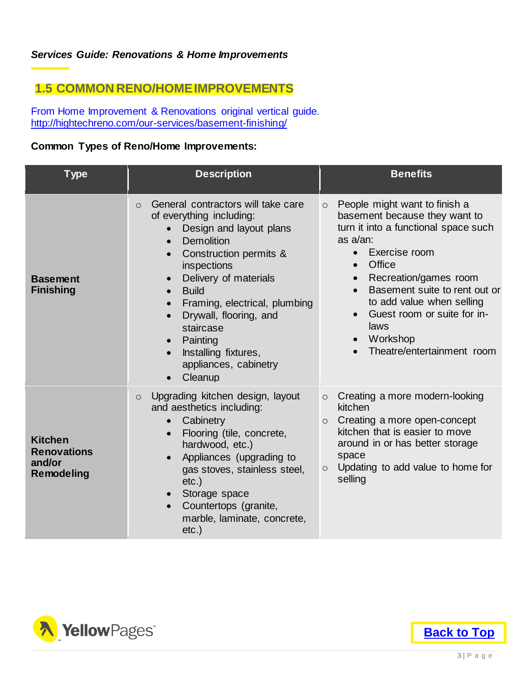#### <span id="page-4-0"></span>**1.5 COMMON RENO/HOME IMPROVEMENTS**

From Home Improvement & Renovations original vertical guide. <http://hightechreno.com/our-services/basement-finishing/>

#### **Common Types of Reno/Home Improvements:**

| <b>Type</b>                                                         | <b>Description</b>                                                                                                                                                                                                                                                                                                                                                                                                              | <b>Benefits</b>                                                                                                                                                                                                                                                                                                                                                                         |  |  |  |
|---------------------------------------------------------------------|---------------------------------------------------------------------------------------------------------------------------------------------------------------------------------------------------------------------------------------------------------------------------------------------------------------------------------------------------------------------------------------------------------------------------------|-----------------------------------------------------------------------------------------------------------------------------------------------------------------------------------------------------------------------------------------------------------------------------------------------------------------------------------------------------------------------------------------|--|--|--|
| <b>Basement</b><br><b>Finishing</b>                                 | General contractors will take care<br>$\bigcirc$<br>of everything including:<br>Design and layout plans<br><b>Demolition</b><br>$\bullet$<br>Construction permits &<br>$\bullet$<br>inspections<br>Delivery of materials<br><b>Build</b><br>Framing, electrical, plumbing<br>Drywall, flooring, and<br>$\bullet$<br>staircase<br>Painting<br>$\bullet$<br>Installing fixtures,<br>$\bullet$<br>appliances, cabinetry<br>Cleanup | People might want to finish a<br>$\circ$<br>basement because they want to<br>turn it into a functional space such<br>as $a$ /an:<br>Exercise room<br>$\bullet$<br>Office<br>$\bullet$<br>Recreation/games room<br>$\bullet$<br>Basement suite to rent out or<br>$\bullet$<br>to add value when selling<br>Guest room or suite for in-<br>laws<br>Workshop<br>Theatre/entertainment room |  |  |  |
| <b>Kitchen</b><br><b>Renovations</b><br>and/or<br><b>Remodeling</b> | Upgrading kitchen design, layout<br>$\circ$<br>and aesthetics including:<br>Cabinetry<br>$\bullet$<br>Flooring (tile, concrete,<br>$\bullet$<br>hardwood, etc.)<br>Appliances (upgrading to<br>$\bullet$<br>gas stoves, stainless steel,<br>$etc.$ )<br>Storage space<br>Countertops (granite,<br>$\bullet$<br>marble, laminate, concrete,<br>$etc.$ )                                                                          | Creating a more modern-looking<br>$\circ$<br>kitchen<br>Creating a more open-concept<br>$\circ$<br>kitchen that is easier to move<br>around in or has better storage<br>space<br>Updating to add value to home for<br>$\circ$<br>selling                                                                                                                                                |  |  |  |



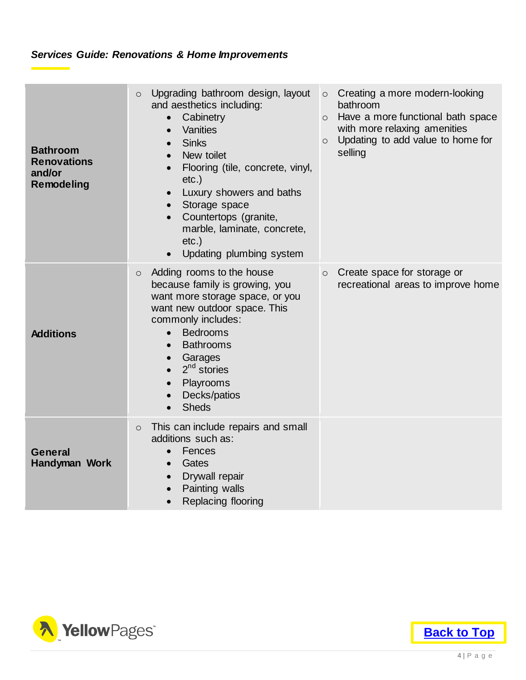#### *Services Guide: Renovations & Home Improvements*

| <b>Bathroom</b><br><b>Renovations</b><br>and/or<br><b>Remodeling</b> | Upgrading bathroom design, layout<br>$\circ$<br>and aesthetics including:<br>Cabinetry<br>$\bullet$<br>Vanities<br>$\bullet$<br><b>Sinks</b><br>$\bullet$<br>New toilet<br>$\bullet$<br>Flooring (tile, concrete, vinyl,<br>$etc.$ )<br>Luxury showers and baths<br>$\bullet$<br>Storage space<br>$\bullet$<br>Countertops (granite,<br>$\bullet$<br>marble, laminate, concrete,<br>$etc.$ )<br>Updating plumbing system | $\circ$ Creating a more modern-looking<br>bathroom<br>o Have a more functional bath space<br>with more relaxing amenities<br>Updating to add value to home for<br>$\circ$<br>selling |
|----------------------------------------------------------------------|--------------------------------------------------------------------------------------------------------------------------------------------------------------------------------------------------------------------------------------------------------------------------------------------------------------------------------------------------------------------------------------------------------------------------|--------------------------------------------------------------------------------------------------------------------------------------------------------------------------------------|
| <b>Additions</b>                                                     | Adding rooms to the house<br>$\circ$<br>because family is growing, you<br>want more storage space, or you<br>want new outdoor space. This<br>commonly includes:<br><b>Bedrooms</b><br>$\bullet$<br><b>Bathrooms</b><br>$\bullet$<br>Garages<br>$\bullet$<br>$2^{nd}$ stories<br>$\bullet$<br>Playrooms<br>Decks/patios<br>$\bullet$<br><b>Sheds</b>                                                                      | Create space for storage or<br>$\circ$<br>recreational areas to improve home                                                                                                         |
| <b>General</b><br>Handyman Work                                      | This can include repairs and small<br>$\circ$<br>additions such as:<br>Fences<br>$\bullet$<br>Gates<br>$\bullet$<br>Drywall repair<br>$\bullet$<br>Painting walls<br>$\bullet$<br>Replacing flooring<br>$\bullet$                                                                                                                                                                                                        |                                                                                                                                                                                      |



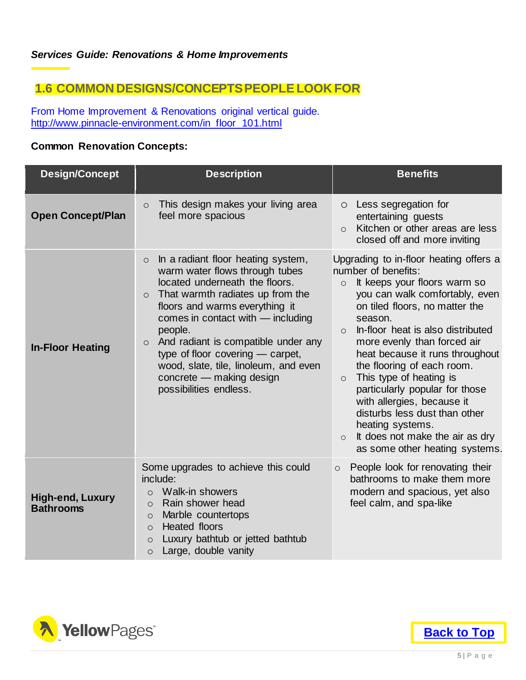#### <span id="page-6-0"></span>**1.6 COMMON DESIGNS/CONCEPTS PEOPLE LOOK FOR**

From Home Improvement & Renovations original vertical guide. [http://www.pinnacle-environment.com/in\\_floor\\_101.html](http://www.pinnacle-environment.com/in_floor_101.html)

#### **Common Renovation Concepts:**

| <b>Design/Concept</b>                       | <b>Description</b>                                                                                                                                                                                                                                                                                                                                                                                                                      | <b>Benefits</b>                                                                                                                                                                                                                                                                                                                                                                                                                                                                                                                                                                     |  |  |
|---------------------------------------------|-----------------------------------------------------------------------------------------------------------------------------------------------------------------------------------------------------------------------------------------------------------------------------------------------------------------------------------------------------------------------------------------------------------------------------------------|-------------------------------------------------------------------------------------------------------------------------------------------------------------------------------------------------------------------------------------------------------------------------------------------------------------------------------------------------------------------------------------------------------------------------------------------------------------------------------------------------------------------------------------------------------------------------------------|--|--|
| <b>Open Concept/Plan</b>                    | This design makes your living area<br>$\circ$<br>feel more spacious                                                                                                                                                                                                                                                                                                                                                                     | Less segregation for<br>$\circ$<br>entertaining quests<br>Kitchen or other areas are less<br>$\Omega$<br>closed off and more inviting                                                                                                                                                                                                                                                                                                                                                                                                                                               |  |  |
| <b>In-Floor Heating</b>                     | In a radiant floor heating system,<br>$\circ$<br>warm water flows through tubes<br>located underneath the floors.<br>That warmth radiates up from the<br>$\circ$<br>floors and warms everything it<br>comes in contact with - including<br>people.<br>And radiant is compatible under any<br>$\circ$<br>type of floor covering — carpet,<br>wood, slate, tile, linoleum, and even<br>concrete - making design<br>possibilities endless. | Upgrading to in-floor heating offers a<br>number of benefits:<br>It keeps your floors warm so<br>$\circ$<br>you can walk comfortably, even<br>on tiled floors, no matter the<br>season.<br>In-floor heat is also distributed<br>$\Omega$<br>more evenly than forced air<br>heat because it runs throughout<br>the flooring of each room.<br>This type of heating is<br>$\circ$<br>particularly popular for those<br>with allergies, because it<br>disturbs less dust than other<br>heating systems.<br>It does not make the air as dry<br>$\circ$<br>as some other heating systems. |  |  |
| <b>High-end, Luxury</b><br><b>Bathrooms</b> | Some upgrades to achieve this could<br>include:<br>Walk-in showers<br>$\bigcirc$<br>Rain shower head<br>$\circ$<br>Marble countertops<br>$\circ$<br><b>Heated floors</b><br>$\bigcirc$<br>Luxury bathtub or jetted bathtub<br>$\circ$<br>Large, double vanity<br>$\circ$                                                                                                                                                                | People look for renovating their<br>$\circ$<br>bathrooms to make them more<br>modern and spacious, yet also<br>feel calm, and spa-like                                                                                                                                                                                                                                                                                                                                                                                                                                              |  |  |